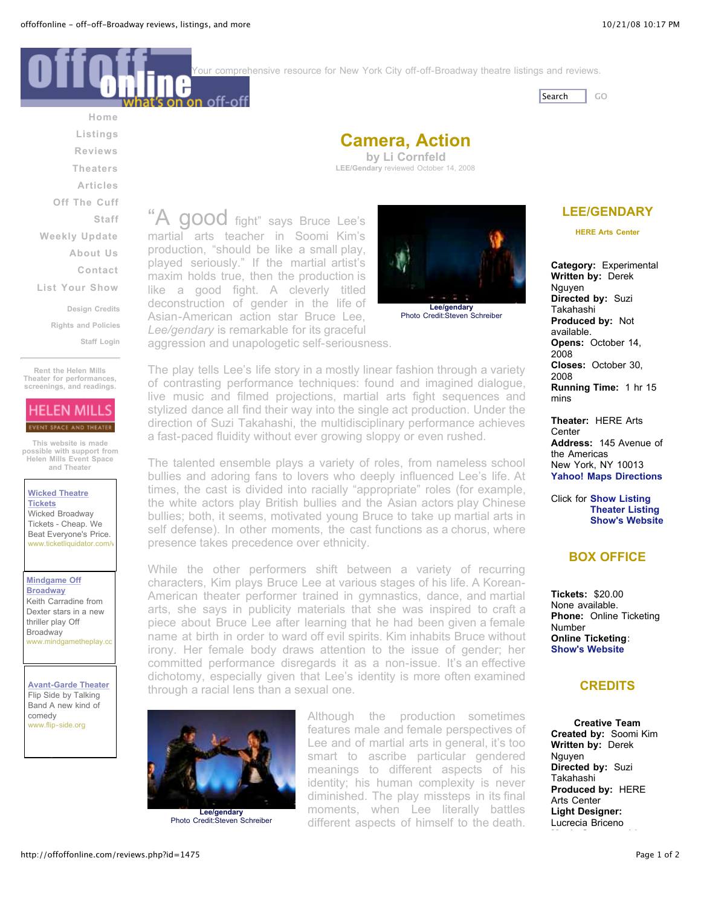Your comprehensive resource for New York City off-off-Broadway theatre listings and reviews.



**[Home](http://offoffonline.com/index.php) [Listings](http://offoffonline.com/reviews.php?id=1475#) [Reviews](http://offoffonline.com/reviews.php?id=1475#) [Theaters](http://offoffonline.com/reviews.php?id=1475#) [Articles](http://offoffonline.com/articles.php) Off The [Cuff](http://offoffonline.com/offthecuffs.php) [Staff](http://offoffonline.com/reviews.php?id=1475#) [Weekly](http://offoffonline.com/reviews.php?id=1475#) Update [About](http://offoffonline.com/aboutus.html) Us [Contact](http://offoffonline.com/contact.html) List Your [Show](http://offoffonline.com/submit.html) Design [Credits](http://offoffonline.com/credits.html) Rights and [Policies](http://offoffonline.com/rights.html) Staff [Login](http://offoffonline.com/Staff)**

**Rent the Helen Mills Theater for [performances,](http://www.helenmills.com/spotlight.html) screenings, and readings.**

# **HELEN MILLS** EVENT SPACE AND THEATER

**This website is made possible [with support](http://www.helenmills.com/) from Helen Mills Event Space and Theater**

**Wicked [Theatre](http://pagead2.googlesyndication.com/pagead/iclk?sa=l&ai=BFz7XEjr9SNbXA4uOywWnlKzjC67SmhL-o8rTBMCNtwHgiRwQARgBIP3zshA4AFCmlo_NBWDJxqmLwKTYD6ABrOHh_gOyARBvZmZvZmZvbmxpbmUuY29tugEKMTI1eDEyNV9hc8gBAdoBK2h0dHA6Ly9vZmZvZmZvbmxpbmUuY29tL3Jldmlld3MucGhwP2lkPTE0NzWAAgGoAwHIAwfoAxfoA7wBiAQBkAQBmAQA&num=1&ggladgrp=243922952&gglcreat=1141774382&adurl=http://www.ticketliquidator.com/tix/wicked-events.aspx%3Futm_source%3Dgoogle%26utm_medium%3Dppc%26utm_content%3Dwicked&client=ca-pub-4864780351746515) Tickets** Wicked Broadway Tickets - Cheap. We Beat Everyone's Price. www.ticketliquidator.com/

**[Mindgame](http://pagead2.googlesyndication.com/pagead/iclk?sa=l&ai=B36viEjr9SJDDA6aYzAXWrIybDd-n_HvToP_HCsCNtwGwr2gQARgCIP3zshA4AFCBtKPS_f____8BYMnGqYvApNgPsgEQb2Zmb2Zmb25saW5lLmNvbboBCjEyNXgxMjVfYXPIAQHaAStodHRwOi8vb2Zmb2Zmb25saW5lLmNvbS9yZXZpZXdzLnBocD9pZD0xNDc14AECyAL39bkIqAMByAMH6AMX6AO8AYgEAZAEAZgEAA&num=2&adurl=http://www.mindgametheplay.com&client=ca-pub-4864780351746515) Off Broadway** Keith Carradine from Dexter stars in a new thriller play Off Broadway www.mindgametheplay.co

**[Avant-Garde](http://pagead2.googlesyndication.com/pagead/iclk?sa=l&ai=BoGZUEjr9SNq6CJeYzAXMgpjNDaLcrXiygcTJCcCNtwHgmBcQARgDIP3zshA4AFCR2pP2B2DJxqmLwKTYD7IBEG9mZm9mZm9ubGluZS5jb226AQoxMjV4MTI1X2FzyAEB2gEraHR0cDovL29mZm9mZm9ubGluZS5jb20vcmV2aWV3cy5waHA_aWQ9MTQ3NeABA6gDAcgDB-gDF-gDvAGIBAGQBAGYBAA&num=3&adurl=http://flip-side.org/&client=ca-pub-4864780351746515) Theater** Flip Side by Talking Band A new kind of comedy www.flip-side.org



A good fight" says Bruce Lee's martial arts teacher in Soomi Kim's production, "should be like a small play, played seriously." If the martial artist's maxim holds true, then the production is like a good fight. A cleverly titled deconstruction of gender in the life of Asian-American action star Bruce Lee, *Lee/gendary* is remarkable for its graceful

n on off-of

aggression and unapologetic self-seriousness.



The play tells Lee's life story in a mostly linear fashion through a variety of contrasting performance techniques: found and imagined dialogue, live music and filmed projections, martial arts fight sequences and stylized dance all find their way into the single act production. Under the direction of Suzi Takahashi, the multidisciplinary performance achieves a fast-paced fluidity without ever growing sloppy or even rushed.

The talented ensemble plays a variety of roles, from nameless school bullies and adoring fans to lovers who deeply influenced Lee's life. At times, the cast is divided into racially "appropriate" roles (for example, the white actors play British bullies and the Asian actors play Chinese bullies; both, it seems, motivated young Bruce to take up martial arts in self defense). In other moments, the cast functions as a chorus, where presence takes precedence over ethnicity.

While the other performers shift between a variety of recurring characters, Kim plays Bruce Lee at various stages of his life. A Korean-American theater performer trained in gymnastics, dance, and martial arts, she says in publicity materials that she was inspired to craft a piece about Bruce Lee after learning that he had been given a female name at birth in order to ward off evil spirits. Kim inhabits Bruce without irony. Her female body draws attention to the issue of gender; her committed performance disregards it as a non-issue. It's an effective dichotomy, especially given that Lee's identity is more often examined through a racial lens than a sexual one.



**Lee/gendary** Photo Credit:Steven Schreiber

Although the production sometimes features male and female perspectives of Lee and of martial arts in general, it's too smart to ascribe particular gendered meanings to different aspects of his identity; his human complexity is never diminished. The play missteps in its final moments, when Lee literally battles different aspects of himself to the death.

# **[LEE/GENDARY](http://offoffonline.com/listings.php?id=8817)**

**HERE Arts [Center](http://offoffonline.com/theaters.php?id=293)**

**Category:** Experimental **Written by:** Derek Nguyen **Directed by:** Suzi Takahashi **Produced by:** Not available. **Opens:** October 14, 2008 **Closes:** October 30, 2008 **Running Time:** 1 hr 15 mins

**Theater:** HERE Arts **Center Address:** 145 Avenue of the Americas New York, NY 10013 **Yahoo! Maps [Directions](http://maps.yahoo.com/maps_result?addr=145+Avenue+of+the+Americas&csz=New+York,NY&zip=10013&country=us&new=1&name=&qty=)**

Click for **Show [Listing](http://offoffonline.com/listings.php?id=8817) [Theater](http://offoffonline.com/theaters.php?id=293) Listing Show's [Website](http://www.leegendary.com/html/slideshow.php)**

## **BOX OFFICE**

**Tickets:** \$20.00 None available. **Phone:** Online Ticketing Number **Online Ticketing**: **Show's [Website](http://offoffonline.com/reviews.php?id=1475)**

### **CREDITS**

**Creative Team Created by:** Soomi Kim **Written by:** Derek Nguyen **Directed by:** Suzi Takahashi **Produced by:** HERE Arts Center **Light Designer:** Lucrecia Briceno

**Music Composed by:**